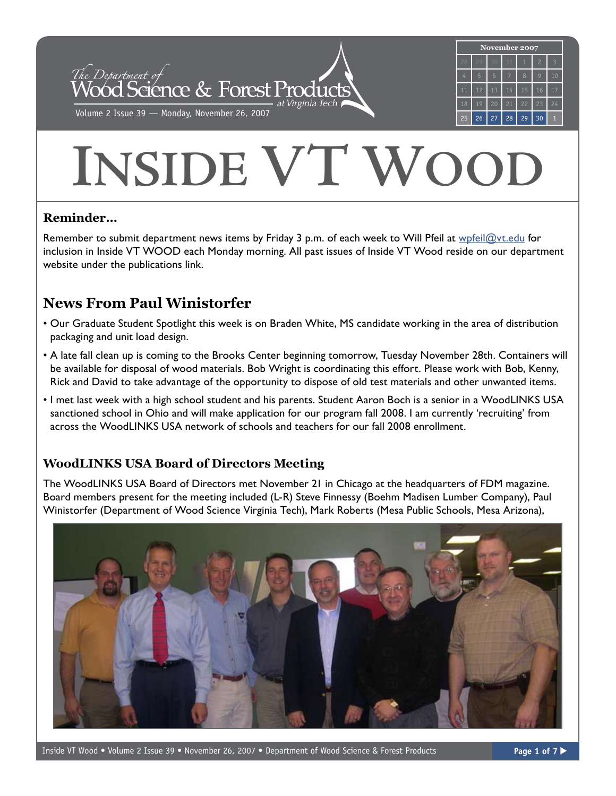

# **INSIDE VT WOO**

## **Reminder…**

Remember to submit department news items by Friday 3 p.m. of each week to Will Pfeil at [wpfeil@vt.edu](mailto:wpfeil@vt.edu) for inclusion in Inside VT WOOD each Monday morning. All past issues of Inside VT Wood reside on our department website under the publications link.

# **News From Paul Winistorfer**

- Our Graduate Student Spotlight this week is on Braden White, MS candidate working in the area of distribution packaging and unit load design.
- A late fall clean up is coming to the Brooks Center beginning tomorrow, Tuesday November 28th. Containers will be available for disposal of wood materials. Bob Wright is coordinating this effort. Please work with Bob, Kenny, Rick and David to take advantage of the opportunity to dispose of old test materials and other unwanted items.
- I met last week with a high school student and his parents. Student Aaron Boch is a senior in a WoodLINKS USA sanctioned school in Ohio and will make application for our program fall 2008. I am currently 'recruiting' from across the WoodLINKS USA network of schools and teachers for our fall 2008 enrollment.

## **WoodLINKS USA Board of Directors Meeting**

The WoodLINKS USA Board of Directors met November 21 in Chicago at the headquarters of FDM magazine. Board members present for the meeting included (L-R) Steve Finnessy (Boehm Madisen Lumber Company), Paul Winistorfer (Department of Wood Science Virginia Tech), Mark Roberts (Mesa Public Schools, Mesa Arizona),

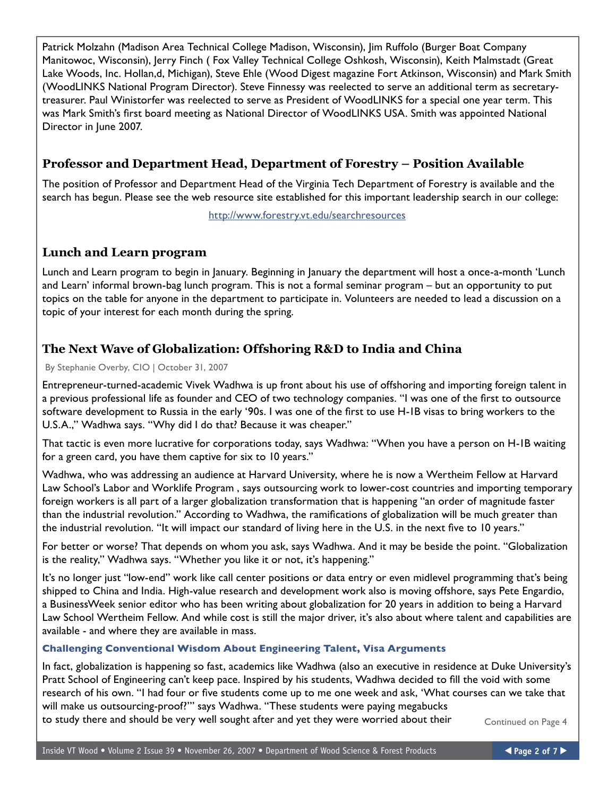Patrick Molzahn (Madison Area Technical College Madison, Wisconsin), Jim Ruffolo (Burger Boat Company Manitowoc, Wisconsin), Jerry Finch ( Fox Valley Technical College Oshkosh, Wisconsin), Keith Malmstadt (Great Lake Woods, Inc. Hollan,d, Michigan), Steve Ehle (Wood Digest magazine Fort Atkinson, Wisconsin) and Mark Smith (WoodLINKS National Program Director). Steve Finnessy was reelected to serve an additional term as secretarytreasurer. Paul Winistorfer was reelected to serve as President of WoodLINKS for a special one year term. This was Mark Smith's first board meeting as National Director of WoodLINKS USA. Smith was appointed National Director in June 2007.

## **Professor and Department Head, Department of Forestry – Position Available**

The position of Professor and Department Head of the Virginia Tech Department of Forestry is available and the search has begun. Please see the web resource site established for this important leadership search in our college:

http://www.forestry.vt.edu/searchresources

#### **Lunch and Learn program**

Lunch and Learn program to begin in January. Beginning in January the department will host a once-a-month 'Lunch and Learn' informal brown-bag lunch program. This is not a formal seminar program – but an opportunity to put topics on the table for anyone in the department to participate in. Volunteers are needed to lead a discussion on a topic of your interest for each month during the spring.

## **The Next Wave of Globalization: Offshoring R&D to India and China**

By Stephanie Overby, CIO | October 31, 2007

Entrepreneur-turned-academic Vivek Wadhwa is up front about his use of offshoring and importing foreign talent in a previous professional life as founder and CEO of two technology companies. "I was one of the first to outsource software development to Russia in the early '90s. I was one of the first to use H-1B visas to bring workers to the U.S.A.," Wadhwa says. "Why did I do that? Because it was cheaper."

That tactic is even more lucrative for corporations today, says Wadhwa: "When you have a person on H-1B waiting for a green card, you have them captive for six to 10 years."

Wadhwa, who was addressing an audience at Harvard University, where he is now a Wertheim Fellow at Harvard Law School's Labor and Worklife Program , says outsourcing work to lower-cost countries and importing temporary foreign workers is all part of a larger globalization transformation that is happening "an order of magnitude faster than the industrial revolution." According to Wadhwa, the ramifications of globalization will be much greater than the industrial revolution. "It will impact our standard of living here in the U.S. in the next five to 10 years."

For better or worse? That depends on whom you ask, says Wadhwa. And it may be beside the point. "Globalization is the reality," Wadhwa says. "Whether you like it or not, it's happening."

It's no longer just "low-end" work like call center positions or data entry or even midlevel programming that's being shipped to China and India. High-value research and development work also is moving offshore, says Pete Engardio, a BusinessWeek senior editor who has been writing about globalization for 20 years in addition to being a Harvard Law School Wertheim Fellow. And while cost is still the major driver, it's also about where talent and capabilities are available - and where they are available in mass.

#### **Challenging Conventional Wisdom About Engineering Talent, Visa Arguments**

In fact, globalization is happening so fast, academics like Wadhwa (also an executive in residence at Duke University's Pratt School of Engineering can't keep pace. Inspired by his students, Wadhwa decided to fill the void with some research of his own. "I had four or five students come up to me one week and ask, 'What courses can we take that will make us outsourcing-proof?'" says Wadhwa. "These students were paying megabucks to study there and should be very well sought after and yet they were worried about their Continued on [Page 4](#page-3-0)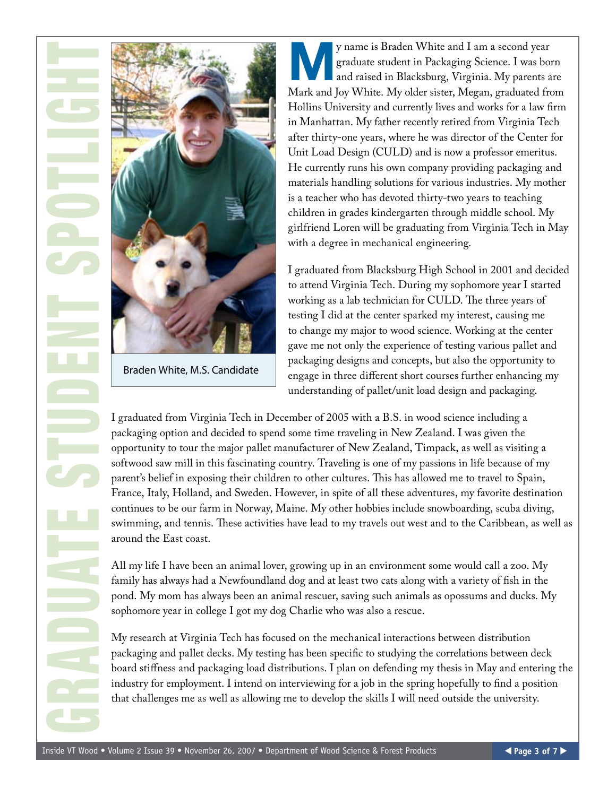



Braden White, M.S. Candidate

**MANU EN STAR EN STAR SERVIES AND STAR SERVIES AND RESPONSIVE SERVIES AND PARTICIPAL AND PARTICIPAL CONTROLLER AND RESPONSIVE SPACE AND RESPONSIVE SPACE AND RESPONSIVE SPACE AND RESPONSIVE SPACE AND RESPONSIVE SPACE AND RE** graduate student in Packaging Science. I was born Mark and Joy White. My older sister, Megan, graduated from Hollins University and currently lives and works for a law firm in Manhattan. My father recently retired from Virginia Tech after thirty-one years, where he was director of the Center for Unit Load Design (CULD) and is now a professor emeritus. He currently runs his own company providing packaging and materials handling solutions for various industries. My mother is a teacher who has devoted thirty-two years to teaching children in grades kindergarten through middle school. My girlfriend Loren will be graduating from Virginia Tech in May with a degree in mechanical engineering.

I graduated from Blacksburg High School in 2001 and decided to attend Virginia Tech. During my sophomore year I started working as a lab technician for CULD. The three years of testing I did at the center sparked my interest, causing me to change my major to wood science. Working at the center gave me not only the experience of testing various pallet and packaging designs and concepts, but also the opportunity to engage in three different short courses further enhancing my understanding of pallet/unit load design and packaging.

I graduated from Virginia Tech in December of 2005 with a B.S. in wood science including a packaging option and decided to spend some time traveling in New Zealand. I was given the opportunity to tour the major pallet manufacturer of New Zealand, Timpack, as well as visiting a softwood saw mill in this fascinating country. Traveling is one of my passions in life because of my parent's belief in exposing their children to other cultures. This has allowed me to travel to Spain, France, Italy, Holland, and Sweden. However, in spite of all these adventures, my favorite destination continues to be our farm in Norway, Maine. My other hobbies include snowboarding, scuba diving, swimming, and tennis. These activities have lead to my travels out west and to the Caribbean, as well as around the East coast.

All my life I have been an animal lover, growing up in an environment some would call a zoo. My family has always had a Newfoundland dog and at least two cats along with a variety of fish in the pond. My mom has always been an animal rescuer, saving such animals as opossums and ducks. My sophomore year in college I got my dog Charlie who was also a rescue.

My research at Virginia Tech has focused on the mechanical interactions between distribution packaging and pallet decks. My testing has been specific to studying the correlations between deck board stiffness and packaging load distributions. I plan on defending my thesis in May and entering the industry for employment. I intend on interviewing for a job in the spring hopefully to find a position that challenges me as well as allowing me to develop the skills I will need outside the university.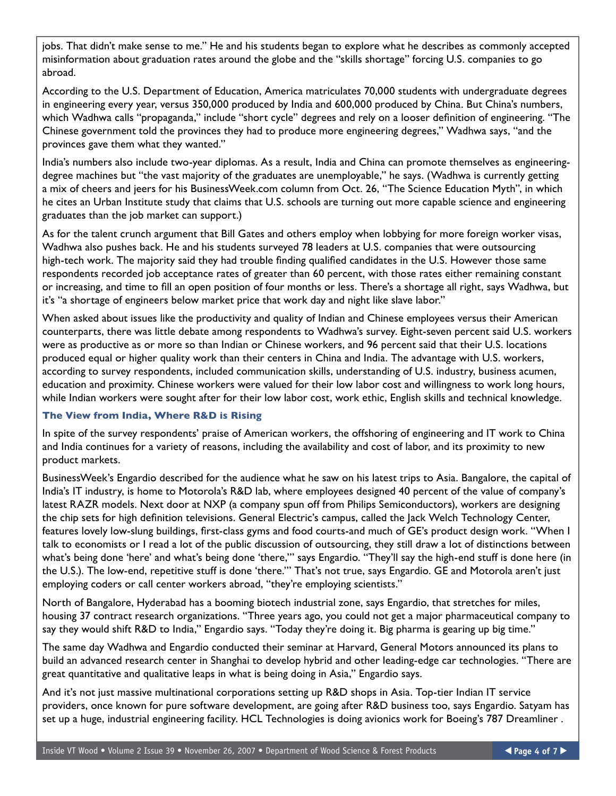<span id="page-3-0"></span>jobs. That didn't make sense to me." He and his students began to explore what he describes as commonly accepted misinformation about graduation rates around the globe and the "skills shortage" forcing U.S. companies to go abroad.

According to the U.S. Department of Education, America matriculates 70,000 students with undergraduate degrees in engineering every year, versus 350,000 produced by India and 600,000 produced by China. But China's numbers, which Wadhwa calls "propaganda," include "short cycle" degrees and rely on a looser definition of engineering. "The Chinese government told the provinces they had to produce more engineering degrees," Wadhwa says, "and the provinces gave them what they wanted."

India's numbers also include two-year diplomas. As a result, India and China can promote themselves as engineeringdegree machines but "the vast majority of the graduates are unemployable," he says. (Wadhwa is currently getting a mix of cheers and jeers for his BusinessWeek.com column from Oct. 26, "The Science Education Myth", in which he cites an Urban Institute study that claims that U.S. schools are turning out more capable science and engineering graduates than the job market can support.)

As for the talent crunch argument that Bill Gates and others employ when lobbying for more foreign worker visas, Wadhwa also pushes back. He and his students surveyed 78 leaders at U.S. companies that were outsourcing high-tech work. The majority said they had trouble finding qualified candidates in the U.S. However those same respondents recorded job acceptance rates of greater than 60 percent, with those rates either remaining constant or increasing, and time to fill an open position of four months or less. There's a shortage all right, says Wadhwa, but it's "a shortage of engineers below market price that work day and night like slave labor."

When asked about issues like the productivity and quality of Indian and Chinese employees versus their American counterparts, there was little debate among respondents to Wadhwa's survey. Eight-seven percent said U.S. workers were as productive as or more so than Indian or Chinese workers, and 96 percent said that their U.S. locations produced equal or higher quality work than their centers in China and India. The advantage with U.S. workers, according to survey respondents, included communication skills, understanding of U.S. industry, business acumen, education and proximity. Chinese workers were valued for their low labor cost and willingness to work long hours, while Indian workers were sought after for their low labor cost, work ethic, English skills and technical knowledge.

#### **The View from India, Where R&D is Rising**

In spite of the survey respondents' praise of American workers, the offshoring of engineering and IT work to China and India continues for a variety of reasons, including the availability and cost of labor, and its proximity to new product markets.

BusinessWeek's Engardio described for the audience what he saw on his latest trips to Asia. Bangalore, the capital of India's IT industry, is home to Motorola's R&D lab, where employees designed 40 percent of the value of company's latest RAZR models. Next door at NXP (a company spun off from Philips Semiconductors), workers are designing the chip sets for high definition televisions. General Electric's campus, called the Jack Welch Technology Center, features lovely low-slung buildings, first-class gyms and food courts-and much of GE's product design work. "When I talk to economists or I read a lot of the public discussion of outsourcing, they still draw a lot of distinctions between what's being done 'here' and what's being done 'there,'" says Engardio. "They'll say the high-end stuff is done here (in the U.S.). The low-end, repetitive stuff is done 'there.'" That's not true, says Engardio. GE and Motorola aren't just employing coders or call center workers abroad, "they're employing scientists."

North of Bangalore, Hyderabad has a booming biotech industrial zone, says Engardio, that stretches for miles, housing 37 contract research organizations. "Three years ago, you could not get a major pharmaceutical company to say they would shift R&D to India," Engardio says. "Today they're doing it. Big pharma is gearing up big time."

The same day Wadhwa and Engardio conducted their seminar at Harvard, General Motors announced its plans to build an advanced research center in Shanghai to develop hybrid and other leading-edge car technologies. "There are great quantitative and qualitative leaps in what is being doing in Asia," Engardio says.

And it's not just massive multinational corporations setting up R&D shops in Asia. Top-tier Indian IT service providers, once known for pure software development, are going after R&D business too, says Engardio. Satyam has set up a huge, industrial engineering facility. HCL Technologies is doing avionics work for Boeing's 787 Dreamliner .